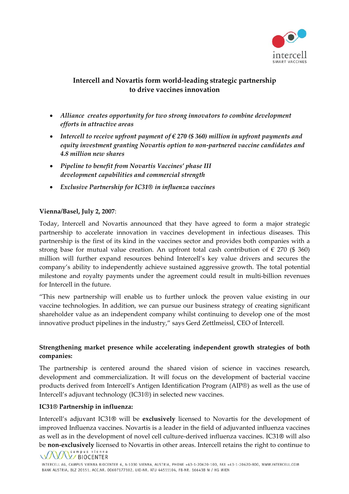

# **Intercell and Novartis form world‐leading strategic partnership to drive vaccines innovation**

- *Alliance creates opportunity for two strong innovators to combine development efforts in attractive areas*
- *Intercell to receive upfront payment of € 270 (\$ 360) million in upfront payments and equity investment granting Novartis option to non‐partnered vaccine candidates and 4.8 million new shares*
- *Pipeline to benefit from Novartis Vaccines' phase III development capabilities and commercial strength*
- *Exclusive Partnership for IC31® in influenza vaccines*

# **Vienna/Basel, July 2, 2007**:

Today, Intercell and Novartis announced that they have agreed to form a major strategic partnership to accelerate innovation in vaccines development in infectious diseases. This partnership is the first of its kind in the vaccines sector and provides both companies with a strong base for mutual value creation. An upfront total cash contribution of  $\epsilon$  270 (\$ 360) million will further expand resources behind Intercell's key value drivers and secures the company's ability to independently achieve sustained aggressive growth. The total potential milestone and royalty payments under the agreement could result in multi-billion revenues for Intercell in the future.

"This new partnership will enable us to further unlock the proven value existing in our vaccine technologies. In addition, we can pursue our business strategy of creating significant shareholder value as an independent company whilst continuing to develop one of the most innovative product pipelines in the industry," says Gerd Zettlmeissl, CEO of Intercell.

# **Strengthening market presence while accelerating independent growth strategies of both companies:**

The partnership is centered around the shared vision of science in vaccines research, development and commercialization. It will focus on the development of bacterial vaccine products derived from Intercell's Antigen Identification Program (AIP®) as well as the use of Intercell's adjuvant technology (IC31®) in selected new vaccines.

# **IC31® Partnership in influenza:**

Intercell's adjuvant IC31**®** will be **exclusively** licensed to Novartis for the development of improved Influenza vaccines. Novartis is a leader in the field of adjuvanted influenza vaccines as well as in the development of novel cell culture‐derived influenza vaccines. IC31**®** will also be **non-exclusively** licensed to Novartis in other areas. Intercell retains the right to continue to **COLOG** COLOG<sub>C</sub>

# WAY BIOCENTER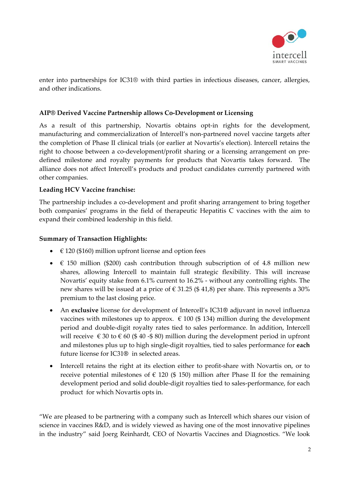

enter into partnerships for IC31® with third parties in infectious diseases, cancer, allergies, and other indications.

#### **AIP® Derived Vaccine Partnership allows Co‐Development or Licensing**

As a result of this partnership, Novartis obtains opt-in rights for the development, manufacturing and commercialization of Intercell's non‐partnered novel vaccine targets after the completion of Phase II clinical trials (or earlier at Novartis's election). Intercell retains the right to choose between a co-development/profit sharing or a licensing arrangement on predefined milestone and royalty payments for products that Novartis takes forward. The alliance does not affect Intercell's products and product candidates currently partnered with other companies.

#### **Leading HCV Vaccine franchise:**

The partnership includes a co-development and profit sharing arrangement to bring together both companies' programs in the field of therapeutic Hepatitis C vaccines with the aim to expand their combined leadership in this field.

#### **Summary of Transaction Highlights:**

- $\in$  120 (\$160) million upfront license and option fees
- $\epsilon$  150 million (\$200) cash contribution through subscription of of 4.8 million new shares, allowing Intercell to maintain full strategic flexibility. This will increase Novartis' equity stake from 6.1% current to 16.2% ‐ without any controlling rights. The new shares will be issued at a price of  $\epsilon$  31.25 (\$41,8) per share. This represents a 30% premium to the last closing price.
- An **exclusive** license for development of Intercell's IC31**®** adjuvant in novel influenza vaccines with milestones up to approx.  $\in$  100 (\$ 134) million during the development period and double‐digit royalty rates tied to sales performance. In addition, Intercell will receive  $\epsilon$  30 to  $\epsilon$  60 (\$40 -\$80) million during the development period in upfront and milestones plus up to high single‐digit royalties, tied to sales performance for **each** future license for IC31**®** in selected areas.
- Intercell retains the right at its election either to profit-share with Novartis on, or to receive potential milestones of  $\epsilon$  120 (\$ 150) million after Phase II for the remaining development period and solid double‐digit royalties tied to sales‐performance, for each product for which Novartis opts in.

"We are pleased to be partnering with a company such as Intercell which shares our vision of science in vaccines R&D, and is widely viewed as having one of the most innovative pipelines in the industry" said Joerg Reinhardt, CEO of Novartis Vaccines and Diagnostics. "We look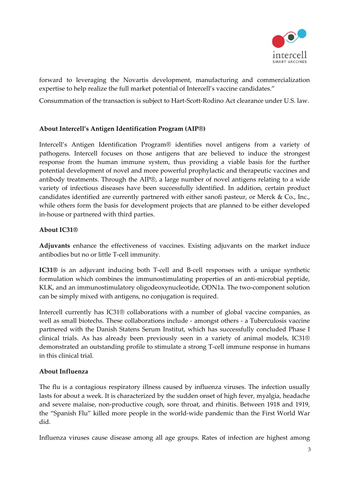

forward to leveraging the Novartis development, manufacturing and commercialization expertise to help realize the full market potential of Intercell's vaccine candidates."

Consummation of the transaction is subject to Hart‐Scott‐Rodino Act clearance under U.S. law.

#### **About Intercell's Antigen Identification Program (AIP®)**

Intercell's Antigen Identification Program® identifies novel antigens from a variety of pathogens. Intercell focuses on those antigens that are believed to induce the strongest response from the human immune system, thus providing a viable basis for the further potential development of novel and more powerful prophylactic and therapeutic vaccines and antibody treatments. Through the AIP®, a large number of novel antigens relating to a wide variety of infectious diseases have been successfully identified. In addition, certain product candidates identified are currently partnered with either sanofi pasteur, or Merck & Co., Inc., while others form the basis for development projects that are planned to be either developed in‐house or partnered with third parties.

#### **About IC31®**

**Adjuvants** enhance the effectiveness of vaccines. Existing adjuvants on the market induce antibodies but no or little T‐cell immunity.

**IC31®** is an adjuvant inducing both T‐cell and B‐cell responses with a unique synthetic formulation which combines the immunostimulating properties of an anti-microbial peptide, KLK, and an immunostimulatory oligodeoxynucleotide, ODN1a. The two-component solution can be simply mixed with antigens, no conjugation is required.

Intercell currently has IC31® collaborations with a number of global vaccine companies, as well as small biotechs. These collaborations include - amongst others - a Tuberculosis vaccine partnered with the Danish Statens Serum Institut, which has successfully concluded Phase I clinical trials. As has already been previously seen in a variety of animal models, IC31® demonstrated an outstanding profile to stimulate a strong T‐cell immune response in humans in this clinical trial.

# **About Influenza**

The flu is a contagious respiratory illness caused by influenza viruses. The infection usually lasts for about a week. It is characterized by the sudden onset of high fever, myalgia, headache and severe malaise, non‐productive cough, sore throat, and rhinitis. Between 1918 and 1919, the "Spanish Flu" killed more people in the world‐wide pandemic than the First World War did.

Influenza viruses cause disease among all age groups. Rates of infection are highest among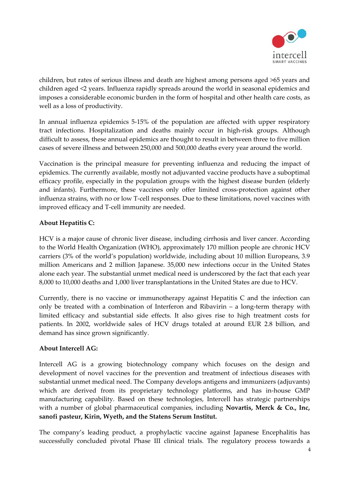

children, but rates of serious illness and death are highest among persons aged >65 years and children aged <2 years. Influenza rapidly spreads around the world in seasonal epidemics and imposes a considerable economic burden in the form of hospital and other health care costs, as well as a loss of productivity.

In annual influenza epidemics 5‐15% of the population are affected with upper respiratory tract infections. Hospitalization and deaths mainly occur in high‐risk groups. Although difficult to assess, these annual epidemics are thought to result in between three to five million cases of severe illness and between 250,000 and 500,000 deaths every year around the world.

Vaccination is the principal measure for preventing influenza and reducing the impact of epidemics. The currently available, mostly not adjuvanted vaccine products have a suboptimal efficacy profile, especially in the population groups with the highest disease burden (elderly and infants). Furthermore, these vaccines only offer limited cross-protection against other influenza strains, with no or low T‐cell responses. Due to these limitations, novel vaccines with improved efficacy and T‐cell immunity are needed.

# **About Hepatitis C:**

HCV is a major cause of chronic liver disease, including cirrhosis and liver cancer. According to the World Health Organization (WHO), approximately 170 million people are chronic HCV carriers (3% of the world's population) worldwide, including about 10 million Europeans, 3.9 million Americans and 2 million Japanese. 35,000 new infections occur in the United States alone each year. The substantial unmet medical need is underscored by the fact that each year 8,000 to 10,000 deaths and 1,000 liver transplantations in the United States are due to HCV.

Currently, there is no vaccine or immunotherapy against Hepatitis C and the infection can only be treated with a combination of Interferon and Ribavirin – a long‐term therapy with limited efficacy and substantial side effects. It also gives rise to high treatment costs for patients. In 2002, worldwide sales of HCV drugs totaled at around EUR 2.8 billion, and demand has since grown significantly.

#### **About Intercell AG:**

Intercell AG is a growing biotechnology company which focuses on the design and development of novel vaccines for the prevention and treatment of infectious diseases with substantial unmet medical need. The Company develops antigens and immunizers (adjuvants) which are derived from its proprietary technology platforms, and has in-house GMP manufacturing capability. Based on these technologies, Intercell has strategic partnerships with a number of global pharmaceutical companies, including **Novartis, Merck & Co., Inc, sanofi pasteur, Kirin, Wyeth, and the Statens Serum Institut.** 

The company's leading product, a prophylactic vaccine against Japanese Encephalitis has successfully concluded pivotal Phase III clinical trials. The regulatory process towards a